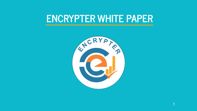## **ENCRYPTER WHITE PAPER**

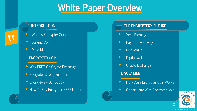### **White Paper Overview**

#### **INTRODUCTION**

- What Is Encrypter Coin
- **Staking Coin**
- Road Map

"

#### **ENCRYPTER COIN**

- ▸ Why ERPT On Crypto Exchange
- ▸ Encrypter Strong Features
- ▸ Encrypters Our Supply
- $\triangleright$  How To Buy Encrypter (ERPT) Coin



https://encrypte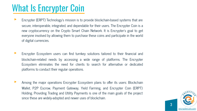## What Is Encrypter Coin

- Encrypter (ERPT) Technology's mission is to provide blockchain-based systems that are secure, interoperable, integrated, and dependable for their users. The Encrypter Coin is a new cryptocurrency on the Crypto Smart Chain Network. It is Encrypter's goal to get everyone involved by allowing them to purchase these coins and participate in the world of digital currencies.
- Encrypter Ecosystem users can find turnkey solutions tailored to their financial and blockchain-related needs by accessing a wide range of platforms. The Encrypter Ecosystem eliminates the need for clients to search for alternative or dedicated platforms to conduct their regular operations.
- Among the major operations Encrypter Ecosystem plans to offer its users: Blockchain Wallet, P2P Escrow, Payment Gateway, Yield Farming, and Encrypter Coin (ERPT) Holding. Providing Trading and Utility Payments is one of the main goals of the project since these are widely-adopted and newer uses of blockchain.

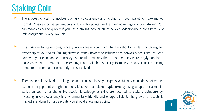# Staking Coin

- The process of staking involves buying cryptocurrency and holding it in your wallet to make money from it. Passive income generation and low entry points are the main advantages of coin staking. You can stake easily and quickly if you use a staking pool or online service. Additionally, it consumes very little energy and is very low-risk.
- It is risk-free to stake coins, since you only lease your coins to the validator while maintaining full ownership of your coins. Staking allows currency holders to influence the network's decisions. You can vote with your coins and earn money as a result of staking them. It is becoming increasingly popular to stake coins, with many users describing it as profitable, similarly to mining. However, unlike mining, there are no overhead or electricity costs involved.
- There is no risk involved in staking a coin. It is also relatively inexpensive. Staking coins does not require expensive equipment or high electricity bills. You can stake cryptocurrency using a laptop or a mobile wallet on your smartphone. No special knowledge or skills are required to stake cryptocurrency. Investing in cryptocurrency is environmentally friendly and energy efficient. The growth of assets is implied in staking. For large profits, you should stake more coins.

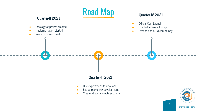

[encryptercoin.com](https://encryptercoin.com) 5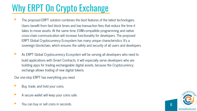# Why ERPT On Crypto Exchange

- The proposed ERPT solution combines the best features of the latest technologies. Users benefit from fast block times and low transaction fees that reduce the time it takes to move assets. At the same time, EVM-compatible programming and native cross-chain communication will increase functionality for developers. The proposed ERPT Global Cryptocurrency Ecosystem has many unique characteristics: It's a sovereign blockchain, which ensures the safety and security of all users and developers.
- As ERPT Global Cryptocurrency Ecosystem will be serving all developers who need to build applications with Smart Contracts, it will especially serve developers who are building apps for trading exchangeable digital assets, because the Cryptocurrency exchange allows trading of new digital tokens.

Our one-stop ERPT has everything you need.

- Buy, trade, and hold your coins.
- A secure wallet will keep your coins safe.
- You can buy or sell coins in seconds.

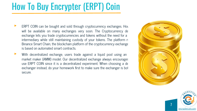# How To Buy Encrypter (ERPT) Coin

- ERPT COIN can be bought and sold through cryptocurrency exchanges. However, they will be available on many exchanges very soon. The Cryptocurrency de exchange lets you trade cryptocurrencies and tokens without the need for a intermediary while still maintaining custody of your tokens. The platform run Binance Smart Chain, the blockchain platform of the cryptocurrency exchange. is based on automated smart contracts.
- With decentralized exchange, users trade against a liquid pool using an market maker (AMM) model. Our decentralized exchange always encourages use ERPT COIN since it is a decentralized experiment. When choosing a de exchanger instead, do your homework first to make sure the exchanger is bot secure.



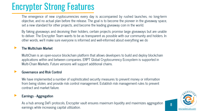# Encrypter Strong Features

The emergence of new cryptocurrencies every day is accompanied by rushed launches, no long-term objective, and no actual plan before the release. The goal is to become the pioneer in the giveaway space, set a new standard for other projects, and become the leading giveaway coin in the world.

By faking giveaways and deceiving their holders, certain projects promise large giveaways but are unable to deliver. The Encrypter Team wants to be as transparent as possible with our community and holders. In other words, we'll make sure everyone is informed and well-informed about everything we do

#### ▸ **The Multichain Market**

MultiChain is an open-source blockchain platform that allows developers to build and deploy blockchain applications within and between companies. ERPT Global Cryptocurrency Ecosystem is supported in Multi-Chain Markets. Future versions will support additional chains.

#### ▸ **Governance and Risk Control**

We have implemented a number of sophisticated security measures to prevent money or information from being stolen, and provide risk control management. Establish risk management rules to prevent contract and market failure.

#### ▸ **Earnings - Aggregation**

As a hub among DeFi protocols, Encrypter vault ensures maximum liquidity and maximizes aggregation earnings while increasing capital utilization.

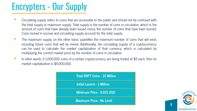# Encrypters - Our Supply

- ▸ Circulating supply refers to coins that are accessible to the public and should not be confused with the total supply or maximum supply. Total supply is the number of coins in circulation, which is the amount of coins that have already been issued minus the number of coins that have been burned. Coins locked in escrow and circulating supply account for the total supply.
- ▸ The maximum supply, on the other hand, quantifies the maximum number of coins that will exist, including future coins that will be mined. Additionally, the circulating supply of a cryptocurrency can be used to calculate the market capitalization of that currency, which is calculated by multiplying the current market price by the number of coins in circulation.
- ▶ In other words, if 1,000,000 coins of a certain cryptocurrency are being traded at \$5 each, then its market capitalization is \$5,000,000.



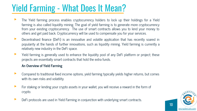# Yield Farming - What Does It Mean?

- ▸ The Yield farming process enables cryptocurrency holders to lock up their holdings for a Yield farming is also called liquidity mining. The goal of yield farming is to generate more cryptocurrency from your existing cryptocurrency. The use of smart contracts allows you to lend your money to others and get paid back. Cryptocurrency will be used to compensate you for your services.
- **EXECO EXECO FEE AT A DECORTAL FIGHTER IN EXECO FEE A** Decentralised finance in Decentive soared in popularity at the hands of further innovations, such as liquidity mining. Yield farming is currently a relatively new industry in the DeFi space.
- ▸ Yield farming is generally used to enhance the liquidity pool of any DeFi platform or project; these projects are essentially smart contracts that hold the extra funds.

#### **An Overview of Yield Farming**

- ▸ Compared to traditional fixed income options, yield farming typically yields higher returns, but comes with its own risks and volatility.
- ▸ For staking or lending your crypto assets in your wallet, you will receive a reward in the form of crypto.
- DeFi protocols are used in Yield Farming in conjunction with underlying smart contracts.

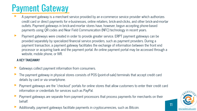# Payment Gateway

- A payment gateway is a merchant service provided by an e-commerce service provider which authorizes credit card or direct payments for e-businesses, online retailers, brick-and-clicks, and other brick-and-mortar outlets. Payment gateways in brick-and-mortar stores have, however, begun accepting phone-based payments using QR codes and Near Field Communication (NFC) technology in recent years.
- ▸ Payment gateways were created in order to provide greater service. ERPT payment gateways can be provided separately by specialized financial service providers, such as payment providers. During a payment transaction, a payment gateway facilitates the exchange of information between the front end processor or acquiring bank and the payment portal. An online payment portal may be accessed through a website, mobile phone, or IVR.

#### **A KEY TAKEAWAY**

- Gateways collect payment information from consumers.
- The payment gateway in physical stores consists of POS (point-of-sale) terminals that accept credit card details by card or via smartphone.
- ▸ Payment gateways are the "checkout" portals for online stores that allow customers to enter their credit card information or credentials for services such as PayPal.
- Payment gateways are separate from payment processors that process payments for merchants on their behalf.
- Additionally, payment gateways facilitate payments in cryptocurrencies, such as Bitcoin.

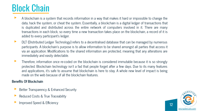## Block Chain

- ▸ A blockchain is a system that records information in a way that makes it hard or impossible to change the data, hack the system, or cheat the system. Essentially, a blockchain is a digital ledger of transactions that is duplicated and distributed across the entire network of computers involved in it. There are many transactions in each block, so every time a new transaction takes place on the blockchain, a record of it is added to every participant's ledger.
- ▸ DLT (Distributed Ledger Technology) refers to a decentralised database that can be managed by numerous participants. A blockchain's purpose is to allow information to be shared amongst all parties that access it via an application. Modifications to the shared information are protected, meaning that any alterations are immediately and easily detectable.
- ▸ Therefore, information once re-coded on the blockchain is considered immutable because it is so strongly protected. Blockchain technology isn't a fad that people forget after a few days. Due to its many features and applications, it's safe to assume that blockchain is here to stay. A whole new level of impact is being made on the web because of all the blockchain features.

#### **Benefits Of Blockchain**

- Better Transparency & Enhanced Security
- Reduced Costs & True Traceability
- Improved Speed & Efficiency

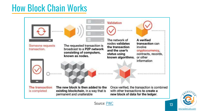# How Block Chain Works





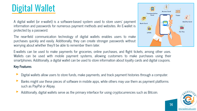# Digital Wallet

A digital wallet (or e-wallet) is a software-based system used to store users' payment information and passwords for numerous payment methods and websites. An E-wallet is protected by a password.

The near-field communication technology of digital wallets enables users to make purchases quickly and easily. Additionally, they can create stronger passwords without worrying about whether they'll be able to remember them later.

E-wallets can be used to make payments for groceries, online purchases, and flight tickets, among other uses. Wallets can be used with mobile payment systems, allowing customers to make purchases using their smartphones. Additionally, a digital wallet can be used to store information about loyalty cards and digital coupons.

#### **Key Features**

- Digital wallets allow users to store funds, make payments, and track payment histories through a computer.
- Banks might use these pieces of software in mobile apps, while others may use them as payment platforms such as PayPal or Alipay.
- Additionally, digital wallets serve as the primary interface for using cryptocurrencies such as Bitcoin.



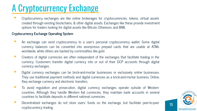# A Cryptocurrency Exchange

▸ Cryptocurrency exchanges are like online brokerages for cryptocurrencies, tokens, virtual assets created through existing blockchains, & other digital assets. Exchanges like these provide investment options for traders looking for digital assets like Bitcoin, Ethereum, and BNB.

#### **Cryptocurrency Exchange Operating System**

- An exchange can send cryptocurrency to a user's personal cryptocurrency wallet. Some digital currency balances can be converted into anonymous prepaid cards that are usable at ATMs worldwide, while others are backed by commodities like gold.
- ▸ Creators of digital currencies are often independent of the exchanges that facilitate trading in the currency. Customers transfer digital currency into or out of their DCP accounts through digital currency exchanges.
- Digital currency exchanges can be brick-and-mortar businesses or exclusively online businesses. They use traditional payment methods and digital currencies as a brick-and-mortar business. Online, they exchange currency and electronic transfers.
- ▸ To avoid regulation and prosecution, digital currency exchanges operate outside of Western countries. Although they handle Western fiat currencies, they maintain bank accounts in several countries to facilitate deposits in different national currencies.
- ▸ Decentralized exchanges do not store users' funds on the exchange, but facilitate peer-to-peer cryptocurrency trading.

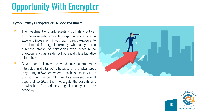# Opportunity With Encrypter

#### **Cryptocurrency Encrypter Coin: A Good Investment**

- The investment of crypto assets is both risky but can also be extremely profitable. Cryptocurrencies are an excellent investment if you want direct exposure to the demand for digital currency, whereas you can purchase stocks of companies with exposure to cryptocurrency as a safer but potentially less lucrative alternative.
- Governments all over the world have become more interested in digital coins because of the advantages they bring. In Sweden, where a cashless society is on the horizon, the central bank has released several papers since 2017 that investigate the benefits and drawbacks of introducing digital money into the economy.



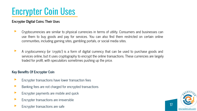# Encrypter Coin Uses

#### **Encrypter Digital Coins: Their Uses**

- ▸ Cryptocurrencies are similar to physical currencies in terms of utility. Consumers and businesses can use them to buy goods and pay for services. You can also find them restricted on certain online communities, including gaming sites, gambling portals, or social media sites.
- A cryptocurrency (or 'crypto') is a form of digital currency that can be used to purchase goods and services online, but it uses cryptography to encrypt the online transactions. These currencies are largely traded for profit, with speculators sometimes pushing up the price.

#### **Key Benefits Of Encrypter Coin**

- Encrypter transactions have lower transaction fees
- Banking fees are not charged for encrypted transactions
- ▸ Encrypter payments are mobile and quick
- ▸ Encrypter transactions are irreversible
- Encrypter transactions are safe

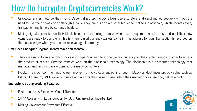# How Do Encrypter Cryptocurrencies Work?

- ▸ Cryptocurrencies: how do they work? Decentralized technology allows users to store and send money securely without the need to use their names or go through a bank. They are built on a distributed ledger called a blockchain, which updates every transaction and is held by currency holders.
- ▸ Mining digital currencies on their blockchains or transferring them between users requires them to be stored until their new owners are ready to use them. This is where digital currency wallets come in. The address for your transaction is recorded on the public ledger when you send or receive digital currency.

#### **How Does Encrypter Cryptocurrency Make You Money?**

- They are similar to arcade tokens or casino chips. You need to exchange real currency for the cryptocurrency in order to access the product or service. Cryptocurrencies work on the blockchain technology. The blockchain is a distributed technology that manages and records transactions across many computers.
- ▸ HOLD. The most common way to earn money from cryptocurrencies is through HOLDING. Most investors buy coins such as Bitcoin, Ethereum, BNB,Ripple, and more and wait for their value to rise. When their market prices rise, they sell at a profit.

#### **Encrypter's Strong Working Features**

- Faster and Less Expensive Global Transfers
- 24/7 Access with Equal Support for Both Unbanked & Underbanked
- Making Government Payments Effective